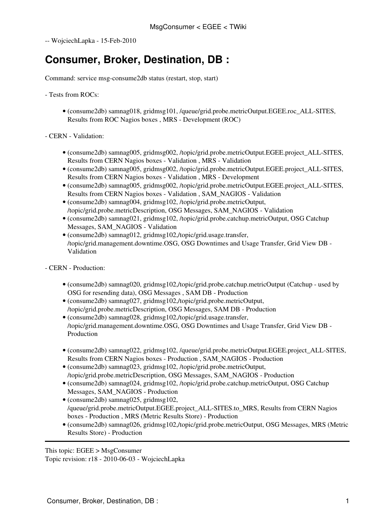-- [WojciechLapka](https://twiki.cern.ch/twiki/bin/view/Main/WojciechLapka) - 15-Feb-2010

## **Consumer, Broker, Destination, DB :**

Command: service msg-consume2db status (restart, stop, start)

- Tests from ROCs:

- (consume2db) samnag018, gridmsg101, /queue/grid.probe.metricOutput.EGEE.roc\_ALL-SITES, Results from ROC Nagios boxes , MRS - Development (ROC)
- CERN Validation:
	- (consume2db) samnag005, gridmsg002, /topic/grid.probe.metricOutput.EGEE.project\_ALL-SITES, Results from CERN Nagios boxes - Validation , MRS - Validation
	- (consume2db) samnag005, gridmsg002, /topic/grid.probe.metricOutput.EGEE.project\_ALL-SITES, Results from CERN Nagios boxes - Validation , MRS - Development
	- (consume2db) samnag005, gridmsg002, /topic/grid.probe.metricOutput.EGEE.project\_ALL-SITES, Results from CERN Nagios boxes - Validation , SAM\_NAGIOS - Validation
	- (consume2db) samnag004, gridmsg102, /topic/grid.probe.metricOutput, /topic/grid.probe.metricDescription, [OSG](https://twiki.cern.ch/twiki/bin/view/EGEE/OSG) Messages, SAM\_NAGIOS - Validation
	- (consume2db) samnag021, gridmsg102, /topic/grid.probe.catchup.metricOutput, [OSG](https://twiki.cern.ch/twiki/bin/view/EGEE/OSG) Catchup Messages, SAM\_NAGIOS - Validation
	- (consume2db) samnag012, gridmsg102,/topic/grid.usage.transfer, /topic/grid.management.downtime.OSG, [OSG](https://twiki.cern.ch/twiki/bin/view/EGEE/OSG) Downtimes and Usage Transfer, Grid View DB - Validation

- CERN - Production:

- (consume2db) samnag020, gridmsg102,/topic/grid.probe.catchup.metricOutput (Catchup used by [OSG](https://twiki.cern.ch/twiki/bin/view/EGEE/OSG) for resending data), [OSG](https://twiki.cern.ch/twiki/bin/view/EGEE/OSG) Messages , SAM DB - Production
- (consume2db) samnag027, gridmsg102,/topic/grid.probe.metricOutput, /topic/grid.probe.metricDescription, [OSG](https://twiki.cern.ch/twiki/bin/view/EGEE/OSG) Messages, SAM DB - Production
- (consume2db) samnag028, gridmsg102,/topic/grid.usage.transfer, /topic/grid.management.downtime.OSG, [OSG](https://twiki.cern.ch/twiki/bin/view/EGEE/OSG) Downtimes and Usage Transfer, Grid View DB - Production
- (consume2db) samnag022, gridmsg102, /queue/grid.probe.metricOutput.EGEE.project\_ALL-SITES, Results from CERN Nagios boxes - Production , SAM\_NAGIOS - Production
- (consume2db) samnag023, gridmsg102, /topic/grid.probe.metricOutput, /topic/grid.probe.metricDescription, [OSG](https://twiki.cern.ch/twiki/bin/view/EGEE/OSG) Messages, SAM\_NAGIOS - Production
- (consume2db) samnag024, gridmsg102, /topic/grid.probe.catchup.metricOutput, [OSG](https://twiki.cern.ch/twiki/bin/view/EGEE/OSG) Catchup Messages, SAM\_NAGIOS - Production
- (consume2db) samnag025, gridmsg102, /queue/grid.probe.metricOutput.EGEE.project\_ALL-SITES.to\_MRS, Results from CERN Nagios boxes - Production , MRS (Metric Results Store) - Production
- (consume2db) samnag026, gridmsg102,/topic/grid.probe.metricOutput, [OSG](https://twiki.cern.ch/twiki/bin/view/EGEE/OSG) Messages, MRS (Metric Results Store) - Production

This topic: EGEE > MsgConsumer

Topic revision: r18 - 2010-06-03 - WojciechLapka